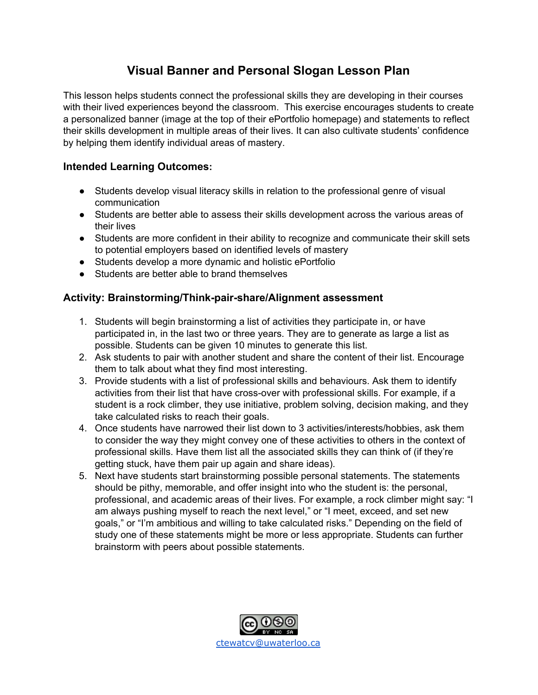## **Visual Banner and Personal Slogan Lesson Plan**

This lesson helps students connect the professional skills they are developing in their courses with their lived experiences beyond the classroom. This exercise encourages students to create a personalized banner (image at the top of their ePortfolio homepage) and statements to reflect their skills development in multiple areas of their lives. It can also cultivate students' confidence by helping them identify individual areas of mastery.

## **Intended Learning Outcomes:**

- Students develop visual literacy skills in relation to the professional genre of visual communication
- Students are better able to assess their skills development across the various areas of their lives
- Students are more confident in their ability to recognize and communicate their skill sets to potential employers based on identified levels of mastery
- Students develop a more dynamic and holistic ePortfolio
- Students are better able to brand themselves

## **Activity: Brainstorming/Think-pair-share/Alignment assessment**

- 1. Students will begin brainstorming a list of activities they participate in, or have participated in, in the last two or three years. They are to generate as large a list as possible. Students can be given 10 minutes to generate this list.
- 2. Ask students to pair with another student and share the content of their list. Encourage them to talk about what they find most interesting.
- 3. Provide students with a list of professional skills and behaviours. Ask them to identify activities from their list that have cross-over with professional skills. For example, if a student is a rock climber, they use initiative, problem solving, decision making, and they take calculated risks to reach their goals.
- 4. Once students have narrowed their list down to 3 activities/interests/hobbies, ask them to consider the way they might convey one of these activities to others in the context of professional skills. Have them list all the associated skills they can think of (if they're getting stuck, have them pair up again and share ideas).
- 5. Next have students start brainstorming possible personal statements. The statements should be pithy, memorable, and offer insight into who the student is: the personal, professional, and academic areas of their lives. For example, a rock climber might say: "I am always pushing myself to reach the next level," or "I meet, exceed, and set new goals," or "I'm ambitious and willing to take calculated risks." Depending on the field of study one of these statements might be more or less appropriate. Students can further brainstorm with peers about possible statements.